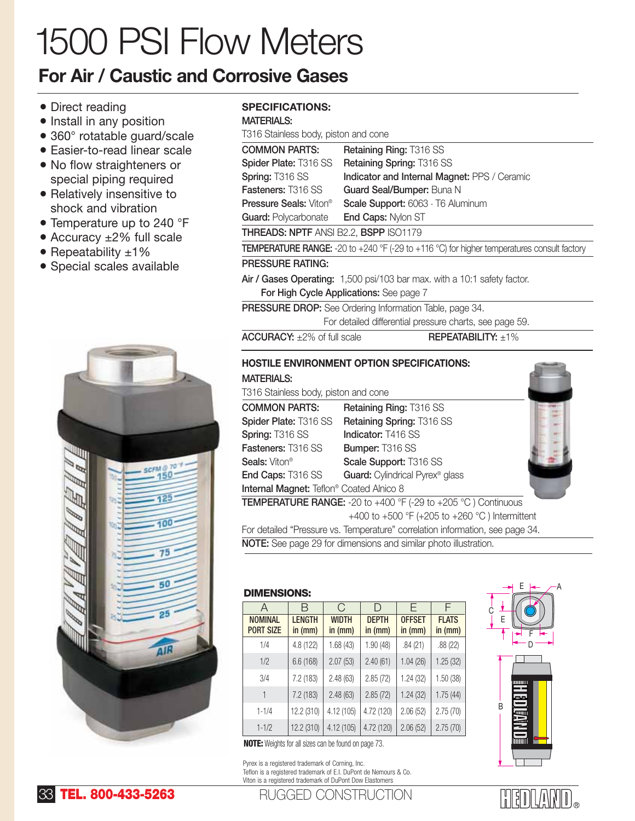# 1500 PSI Flow Meters

## **For Air / Caustic and Corrosive Gases**

- Direct reading
- Install in any position
- 360° rotatable guard/scale
- Easier-to-read linear scale
- No flow straighteners or special piping required
- Relatively insensitive to shock and vibration
- Temperature up to 240 °F
- Accuracy ±2% full scale
- Repeatability ±1%
- Special scales available



### **SPECIFICATIONS:**

#### **MATERIALS:**

T316 Stainless body, piston and cone

| <u>1010 Oldin ilooo booy, piolon aha oono</u> |                                                                                                                                                                                       |  |  |  |  |  |  |  |
|-----------------------------------------------|---------------------------------------------------------------------------------------------------------------------------------------------------------------------------------------|--|--|--|--|--|--|--|
| <b>COMMON PARTS:</b>                          | Retaining Ring: T316 SS                                                                                                                                                               |  |  |  |  |  |  |  |
| Spider Plate: T316 SS                         | Retaining Spring: T316 SS                                                                                                                                                             |  |  |  |  |  |  |  |
| Spring: T316 SS                               | Indicator and Internal Magnet: PPS / Ceramic                                                                                                                                          |  |  |  |  |  |  |  |
| <b>Fasteners: T316 SS</b>                     | Guard Seal/Bumper: Buna N                                                                                                                                                             |  |  |  |  |  |  |  |
| <b>Pressure Seals: Viton®</b>                 | Scale Support: 6063 - T6 Aluminum                                                                                                                                                     |  |  |  |  |  |  |  |
| <b>Guard: Polycarbonate</b>                   | End Caps: Nylon ST                                                                                                                                                                    |  |  |  |  |  |  |  |
| <b>THREADS: NPTF ANSI B2.2, BSPP ISO1179</b>  |                                                                                                                                                                                       |  |  |  |  |  |  |  |
|                                               | <b>TEMPERATURE RANGE:</b> -20 to +240 °F (-29 to +116 °C) for higher temperatures consult factory                                                                                     |  |  |  |  |  |  |  |
| <b>PRESSURE RATING:</b>                       |                                                                                                                                                                                       |  |  |  |  |  |  |  |
|                                               | Air / Gases Operating: 1,500 psi/103 bar max. with a 10:1 safety factor.                                                                                                              |  |  |  |  |  |  |  |
|                                               | For High Cycle Applications: See page 7                                                                                                                                               |  |  |  |  |  |  |  |
|                                               | <b>PRESSURE DROP:</b> See Ordering Information Table, page 34.                                                                                                                        |  |  |  |  |  |  |  |
|                                               | For detailed differential pressure charts, see page 59.                                                                                                                               |  |  |  |  |  |  |  |
| $ACCURACY: +2\%$ of full scale                | $REPEATABILITY: \pm 1\%$                                                                                                                                                              |  |  |  |  |  |  |  |
|                                               | <b>HOSTILE ENVIRONMENT OPTION SPECIFICATIONS:</b>                                                                                                                                     |  |  |  |  |  |  |  |
| <b>MATERIALS:</b>                             |                                                                                                                                                                                       |  |  |  |  |  |  |  |
| T316 Stainless body, piston and cone          |                                                                                                                                                                                       |  |  |  |  |  |  |  |
| <b>COMMON PARTS:</b>                          | Retaining Ring: T316 SS                                                                                                                                                               |  |  |  |  |  |  |  |
| <b>Spider Plate: T316 SS</b>                  | Retaining Spring: T316 SS                                                                                                                                                             |  |  |  |  |  |  |  |
| $\sim$ $\sim$ $\sim$ $\sim$                   | $\mathbf{1}$ $\mathbf{1}$ $\mathbf{1}$ $\mathbf{1}$ $\mathbf{1}$ $\mathbf{1}$ $\mathbf{1}$ $\mathbf{1}$ $\mathbf{1}$ $\mathbf{1}$ $\mathbf{1}$ $\mathbf{1}$ $\mathbf{1}$ $\mathbf{1}$ |  |  |  |  |  |  |  |

|                                                 | Spider Plate: 1316 SS Retaining Spring: 1316 SS                                        |  |  |  |  |
|-------------------------------------------------|----------------------------------------------------------------------------------------|--|--|--|--|
| Spring: T316 SS                                 | Indicator: T416 SS                                                                     |  |  |  |  |
| Fasteners: T316 SS                              | <b>Bumper: T316 SS</b>                                                                 |  |  |  |  |
| <b>Seals: Viton®</b>                            | Scale Support: T316 SS                                                                 |  |  |  |  |
| <b>End Caps: T316 SS</b>                        | Guard: Cylindrical Pyrex <sup>®</sup> glass                                            |  |  |  |  |
| <b>Internal Magnet:</b> Teflon® Coated Alnico 8 |                                                                                        |  |  |  |  |
|                                                 | <b>TEMPERATURE RANGE:</b> -20 to +400 $\degree$ F (-29 to +205 $\degree$ C) Continuous |  |  |  |  |
|                                                 |                                                                                        |  |  |  |  |

+400 to +500 °F (+205 to +260 °C ) Intermittent For detailed "Pressure vs. Temperature" correlation information, see page 34.

**NOTE:** See page 29 for dimensions and similar photo illustration.

#### **DIMENSIONS:**

| A                                  | R                        | C                       | D                       | F                        | F                       |
|------------------------------------|--------------------------|-------------------------|-------------------------|--------------------------|-------------------------|
| <b>NOMINAL</b><br><b>PORT SIZE</b> | <b>LENGTH</b><br>in (mm) | <b>WIDTH</b><br>in (mm) | <b>DEPTH</b><br>in (mm) | <b>OFFSET</b><br>in (mm) | <b>FLATS</b><br>in (mm) |
| 1/4                                | 4.8 (122)                | 1.68(43)                | 1.90 (48)               | .84(21)                  | .88(22)                 |
| 1/2                                | 6.6 (168)                | 2.07(53)                | 2.40(61)                | 1.04(26)                 | 1.25(32)                |
| 3/4                                | 7.2 (183)                | 2.48(63)                | 2.85(72)                | 1.24(32)                 | 1.50 (38)               |
| 1                                  | 7.2 (183)                | 2.48(63)                | 2.85(72)                | 1.24(32)                 | 1.75(44)                |
| $1 - 1/4$                          | 12.2 (310)               | 4.12 (105)              | 4.72 (120)              | 2.06(52)                 | 2.75(70)                |
| $1 - 1/2$                          | 12.2 (310)               | 4.12 (105)              | 4.72 (120)              | 2.06(52)                 | 2.75(70)                |

**NOTE:** Weights for all sizes can be found on page 73.

Pyrex is a registered trademark of Corning, Inc. Teflon is a registered trademark of E.I. DuPont de Nemours & Co. Viton is a registered trademark of DuPont Dow Elastomers





RUGGED CONSTRUCTION